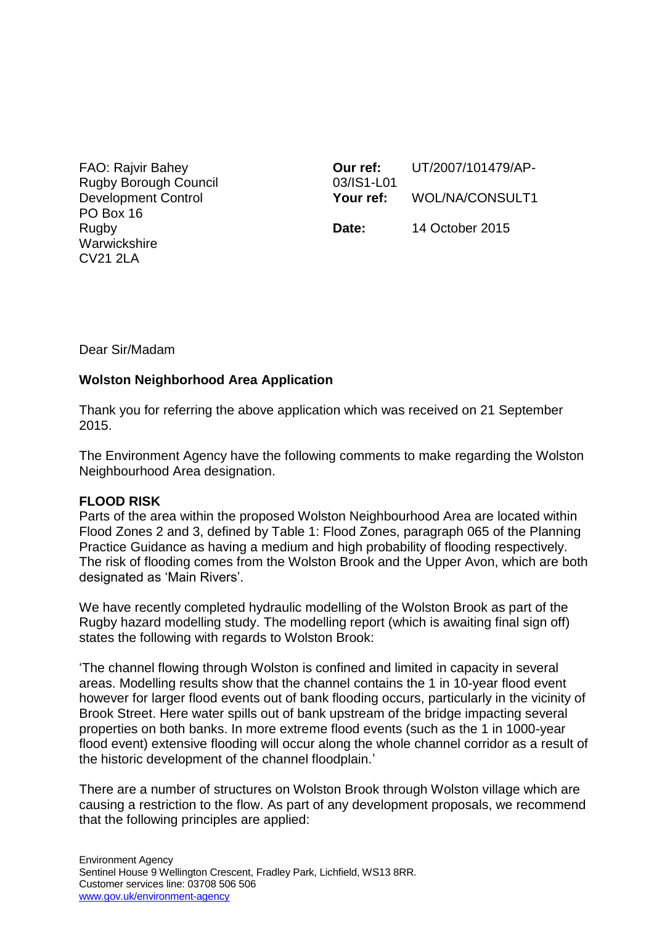FAO: Rajvir Bahey Rugby Borough Council Development Control PO Box 16 Rugby **Warwickshire** CV21 2LA

**Our ref:** UT/2007/101479/AP-03/IS1-L01 **Your ref:** WOL/NA/CONSULT1 **Date:** 14 October 2015

Dear Sir/Madam

### **Wolston Neighborhood Area Application**

Thank you for referring the above application which was received on 21 September 2015.

The Environment Agency have the following comments to make regarding the Wolston Neighbourhood Area designation.

### **FLOOD RISK**

Parts of the area within the proposed Wolston Neighbourhood Area are located within Flood Zones 2 and 3, defined by Table 1: Flood Zones, paragraph 065 of the Planning Practice Guidance as having a medium and high probability of flooding respectively. The risk of flooding comes from the Wolston Brook and the Upper Avon, which are both designated as 'Main Rivers'.

We have recently completed hydraulic modelling of the Wolston Brook as part of the Rugby hazard modelling study. The modelling report (which is awaiting final sign off) states the following with regards to Wolston Brook:

'The channel flowing through Wolston is confined and limited in capacity in several areas. Modelling results show that the channel contains the 1 in 10-year flood event however for larger flood events out of bank flooding occurs, particularly in the vicinity of Brook Street. Here water spills out of bank upstream of the bridge impacting several properties on both banks. In more extreme flood events (such as the 1 in 1000-year flood event) extensive flooding will occur along the whole channel corridor as a result of the historic development of the channel floodplain.'

There are a number of structures on Wolston Brook through Wolston village which are causing a restriction to the flow. As part of any development proposals, we recommend that the following principles are applied: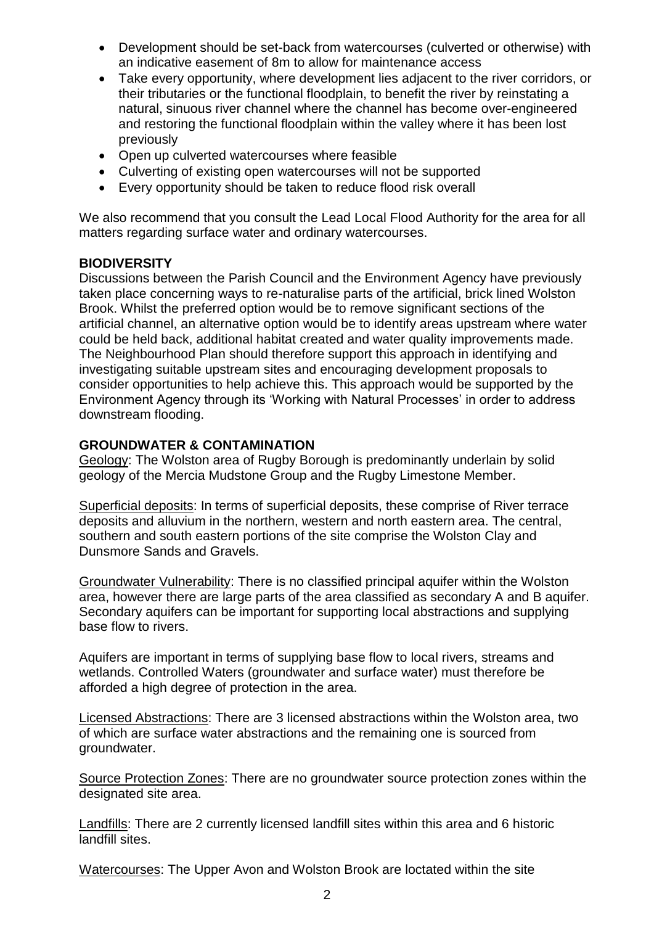- Development should be set-back from watercourses (culverted or otherwise) with an indicative easement of 8m to allow for maintenance access
- Take every opportunity, where development lies adjacent to the river corridors, or their tributaries or the functional floodplain, to benefit the river by reinstating a natural, sinuous river channel where the channel has become over-engineered and restoring the functional floodplain within the valley where it has been lost previously
- Open up culverted watercourses where feasible
- Culverting of existing open watercourses will not be supported
- Every opportunity should be taken to reduce flood risk overall

We also recommend that you consult the Lead Local Flood Authority for the area for all matters regarding surface water and ordinary watercourses.

# **BIODIVERSITY**

Discussions between the Parish Council and the Environment Agency have previously taken place concerning ways to re-naturalise parts of the artificial, brick lined Wolston Brook. Whilst the preferred option would be to remove significant sections of the artificial channel, an alternative option would be to identify areas upstream where water could be held back, additional habitat created and water quality improvements made. The Neighbourhood Plan should therefore support this approach in identifying and investigating suitable upstream sites and encouraging development proposals to consider opportunities to help achieve this. This approach would be supported by the Environment Agency through its 'Working with Natural Processes' in order to address downstream flooding.

### **GROUNDWATER & CONTAMINATION**

Geology: The Wolston area of Rugby Borough is predominantly underlain by solid geology of the Mercia Mudstone Group and the Rugby Limestone Member.

Superficial deposits: In terms of superficial deposits, these comprise of River terrace deposits and alluvium in the northern, western and north eastern area. The central, southern and south eastern portions of the site comprise the Wolston Clay and Dunsmore Sands and Gravels.

Groundwater Vulnerability: There is no classified principal aquifer within the Wolston area, however there are large parts of the area classified as secondary A and B aquifer. Secondary aquifers can be important for supporting local abstractions and supplying base flow to rivers.

Aquifers are important in terms of supplying base flow to local rivers, streams and wetlands. Controlled Waters (groundwater and surface water) must therefore be afforded a high degree of protection in the area.

Licensed Abstractions: There are 3 licensed abstractions within the Wolston area, two of which are surface water abstractions and the remaining one is sourced from groundwater.

Source Protection Zones: There are no groundwater source protection zones within the designated site area.

Landfills: There are 2 currently licensed landfill sites within this area and 6 historic landfill sites.

Watercourses: The Upper Avon and Wolston Brook are loctated within the site